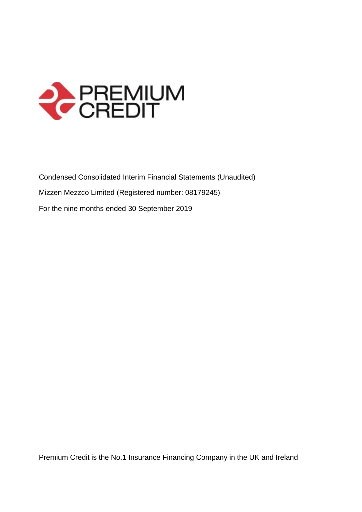

Condensed Consolidated Interim Financial Statements (Unaudited) Mizzen Mezzco Limited (Registered number: 08179245) For the nine months ended 30 September 2019

Premium Credit is the No.1 Insurance Financing Company in the UK and Ireland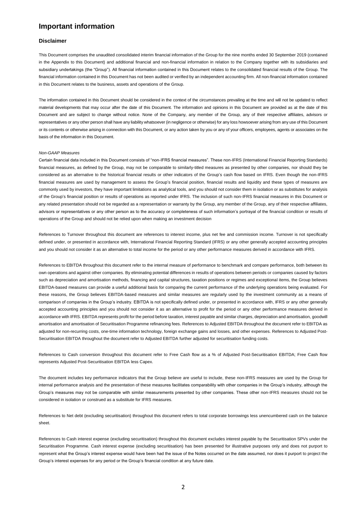# **Important information**

#### **Disclaimer**

This Document comprises the unaudited consolidated interim financial information of the Group for the nine months ended 30 September 2019 (contained in the Appendix to this Document) and additional financial and non-financial information in relation to the Company together with its subsidiaries and subsidiary undertakings (the "Group"). All financial information contained in this Document relates to the consolidated financial results of the Group. The financial information contained in this Document has not been audited or verified by an independent accounting firm. All non-financial information contained in this Document relates to the business, assets and operations of the Group.

The information contained in this Document should be considered in the context of the circumstances prevailing at the time and will not be updated to reflect material developments that may occur after the date of this Document. The information and opinions in this Document are provided as at the date of this Document and are subject to change without notice. None of the Company, any member of the Group, any of their respective affiliates, advisors or representatives or any other person shall have any liability whatsoever (in negligence or otherwise) for any loss howsoever arising from any use of this Document or its contents or otherwise arising in connection with this Document, or any action taken by you or any of your officers, employees, agents or associates on the basis of the information in this Document.

#### *Non-GAAP Measures*

Certain financial data included in this Document consists of "non-IFRS financial measures". These non-IFRS (International Financial Reporting Standards) financial measures, as defined by the Group, may not be comparable to similarly-titled measures as presented by other companies, nor should they be considered as an alternative to the historical financial results or other indicators of the Group's cash flow based on IFRS. Even though the non-IFRS financial measures are used by management to assess the Group's financial position, financial results and liquidity and these types of measures are commonly used by investors, they have important limitations as analytical tools, and you should not consider them in isolation or as substitutes for analysis of the Group's financial position or results of operations as reported under IFRS. The inclusion of such non-IFRS financial measures in this Document or any related presentation should not be regarded as a representation or warranty by the Group, any member of the Group, any of their respective affiliates, advisors or representatives or any other person as to the accuracy or completeness of such information's portrayal of the financial condition or results of operations of the Group and should not be relied upon when making an investment decision

References to Turnover throughout this document are references to interest income, plus net fee and commission income. Turnover is not specifically defined under, or presented in accordance with, International Financial Reporting Standard (IFRS) or any other generally accepted accounting principles and you should not consider it as an alternative to total income for the period or any other performance measures derived in accordance with IFRS.

References to EBITDA throughout this document refer to the internal measure of performance to benchmark and compare performance, both between its own operations and against other companies. By eliminating potential differences in results of operations between periods or companies caused by factors such as depreciation and amortisation methods, financing and capital structures, taxation positions or regimes and exceptional items, the Group believes EBITDA-based measures can provide a useful additional basis for comparing the current performance of the underlying operations being evaluated. For these reasons, the Group believes EBITDA-based measures and similar measures are regularly used by the investment community as a means of comparison of companies in the Group's industry. EBITDA is not specifically defined under, or presented in accordance with, IFRS or any other generally accepted accounting principles and you should not consider it as an alternative to profit for the period or any other performance measures derived in accordance with IFRS. EBITDA represents profit for the period before taxation, interest payable and similar charges, depreciation and amortisation, goodwill amortisation and amortisation of Securitisation Programme refinancing fees. References to Adjusted EBITDA throughout the document refer to EBITDA as adjusted for non-recurring costs, one-time information technology, foreign exchange gains and losses, and other expenses. References to Adjusted Post-Securitisation EBITDA throughout the document refer to Adjusted EBITDA further adjusted for securitisation funding costs.

References to Cash conversion throughout this document refer to Free Cash flow as a % of Adjusted Post-Securitisation EBITDA; Free Cash flow represents Adjusted Post-Securitisation EBITDA less Capex.

The document includes key performance indicators that the Group believe are useful to include, these non-IFRS measures are used by the Group for internal performance analysis and the presentation of these measures facilitates comparability with other companies in the Group's industry, although the Group's measures may not be comparable with similar measurements presented by other companies. These other non-IFRS measures should not be considered in isolation or construed as a substitute for IFRS measures.

References to Net debt (excluding securitisation) throughout this document refers to total corporate borrowings less unencumbered cash on the balance sheet.

References to Cash interest expense (excluding securitisation) throughout this document excludes interest payable by the Securitisation SPVs under the Securitisation Programme. Cash interest expense (excluding securitisation) has been presented for illustrative purposes only and does not purport to represent what the Group's interest expense would have been had the issue of the Notes occurred on the date assumed, nor does it purport to project the Group's interest expenses for any period or the Group's financial condition at any future date.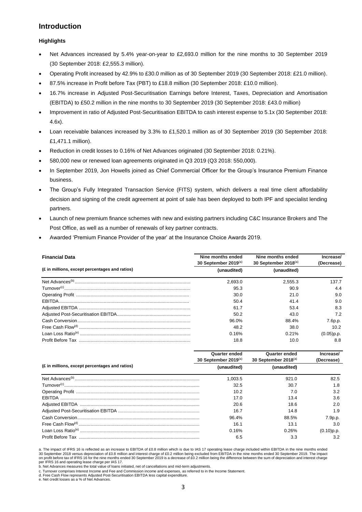# **Introduction**

## **Highlights**

- Net Advances increased by 5.4% year-on-year to £2,693.0 million for the nine months to 30 September 2019 (30 September 2018: £2,555.3 million).
- Operating Profit increased by 42.9% to £30.0 million as of 30 September 2019 (30 September 2018: £21.0 million).
- 87.5% increase in Profit before Tax (PBT) to £18.8 million (30 September 2018: £10.0 million).
- 16.7% increase in Adjusted Post-Securitisation Earnings before Interest, Taxes, Depreciation and Amortisation (EBITDA) to £50.2 million in the nine months to 30 September 2019 (30 September 2018: £43.0 million)
- Improvement in ratio of Adjusted Post-Securitisation EBITDA to cash interest expense to 5.1x (30 September 2018: 4.6x).
- Loan receivable balances increased by 3.3% to £1,520.1 million as of 30 September 2019 (30 September 2018: £1,471.1 million).
- Reduction in credit losses to 0.16% of Net Advances originated (30 September 2018: 0.21%).
- 580,000 new or renewed loan agreements originated in Q3 2019 (Q3 2018: 550,000).
- In September 2019, Jon Howells joined as Chief Commercial Officer for the Group's Insurance Premium Finance business.
- The Group's Fully Integrated Transaction Service (FITS) system, which delivers a real time client affordability decision and signing of the credit agreement at point of sale has been deployed to both IPF and specialist lending partners.
- Launch of new premium finance schemes with new and existing partners including C&C Insurance Brokers and The Post Office, as well as a number of renewals of key partner contracts.
- Awarded 'Premium Finance Provider of the year' at the Insurance Choice Awards 2019.

| <b>Financial Data</b>                          | Nine months ended<br>30 September 2019(a) | Nine months ended<br>30 September 2018(a) | Increase/<br>(Decrease) |
|------------------------------------------------|-------------------------------------------|-------------------------------------------|-------------------------|
| (£ in millions, except percentages and ratios) | (unaudited)                               | (unaudited)                               |                         |
|                                                | 2.693.0                                   | 2.555.3                                   | 137.7                   |
|                                                | 95.3                                      | 90.9                                      | 4.4                     |
|                                                | 30.0                                      | 21.0                                      | 9.0                     |
|                                                | 50.4                                      | 41.4                                      | 9.0                     |
|                                                | 61.7                                      | 53.4                                      | 8.3                     |
|                                                | 50.2                                      | 43.0                                      | 7.2                     |
|                                                | 96.0%                                     | 88.4%                                     | 7.6p.p.                 |
|                                                | 48.2                                      | 38.0                                      | 10.2                    |
|                                                | 0.16%                                     | 0.21%                                     | $(0.05)$ p.p.           |
|                                                | 18.8                                      | 10.0                                      | 8.8                     |

|                                                | <b>Quarter ended</b><br>30 September 2019(a) | <b>Quarter ended</b><br>30 September 2018(a) | Increase/<br>(Decrease) |
|------------------------------------------------|----------------------------------------------|----------------------------------------------|-------------------------|
| (£ in millions, except percentages and ratios) | (unaudited)                                  | (unaudited)                                  |                         |
|                                                | 1.003.5                                      | 921.0                                        | 82.5                    |
|                                                | 32.5                                         | 30.7                                         | 1.8                     |
|                                                | 10.2                                         | 7.0                                          | 3.2                     |
|                                                | 17.0                                         | 13.4                                         | 3.6                     |
|                                                | 20.6                                         | 18.6                                         | 2.0                     |
|                                                | 16.7                                         | 14.8                                         | 1.9                     |
|                                                | 96.4%                                        | 88.5%                                        | 7.9p.p.                 |
|                                                | 16.1                                         | 13.1                                         | 3.0                     |
|                                                | 0.16%                                        | 0.26%                                        | $(0.10)$ p.p.           |
|                                                | 6.5                                          | 3.3                                          | 3.2                     |

a. The impact of IFRS 16 is reflected as an increase to EBITDA of £0.8 million which is due to IAS 17 operating lease charge included within EBITDA in the nine months ended 30 September 2018 versus depreciation of £0.8 million and interest charge of £0.2 million being excluded from EBITDA in the nine months ended 30 September 2019. The impact<br>on profit before tax of IFRS 16 for the nine month

per IFRS 16 and operating lease charge per IAS 17. b. Net Advances measures the total value of loans initiated, net of cancellations and mid-term adjustments.

c. Turnover comprises Interest Income and Fee and Commission income and expenses, as referred to in the Income Statement.

d. Free Cash Flow represents Adjusted Post-Securitisation EBITDA less capital expenditure. e. Net credit losses as a % of Net Advances.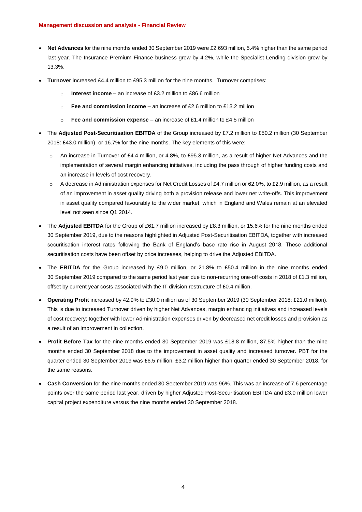- **Net Advances** for the nine months ended 30 September 2019 were £2,693 million, 5.4% higher than the same period last year. The Insurance Premium Finance business grew by 4.2%, while the Specialist Lending division grew by 13.3%.
- **Turnover** increased £4.4 million to £95.3 million for the nine months. Turnover comprises:
	- o **Interest income**  an increase of £3.2 million to £86.6 million
	- o **Fee and commission income** an increase of £2.6 million to £13.2 million
	- o **Fee and commission expense** an increase of £1.4 million to £4.5 million
- The **Adjusted Post-Securitisation EBITDA** of the Group increased by £7.2 million to £50.2 million (30 September 2018: £43.0 million), or 16.7% for the nine months. The key elements of this were:
	- o An increase in Turnover of £4.4 million, or 4.8%, to £95.3 million, as a result of higher Net Advances and the implementation of several margin enhancing initiatives, including the pass through of higher funding costs and an increase in levels of cost recovery.
	- $\circ$  A decrease in Administration expenses for Net Credit Losses of £4.7 million or 62.0%, to £2.9 million, as a result of an improvement in asset quality driving both a provision release and lower net write-offs. This improvement in asset quality compared favourably to the wider market, which in England and Wales remain at an elevated level not seen since Q1 2014.
- The **Adjusted EBITDA** for the Group of £61.7 million increased by £8.3 million, or 15.6% for the nine months ended 30 September 2019, due to the reasons highlighted in Adjusted Post-Securitisation EBITDA, together with increased securitisation interest rates following the Bank of England's base rate rise in August 2018. These additional securitisation costs have been offset by price increases, helping to drive the Adjusted EBITDA.
- The **EBITDA** for the Group increased by £9.0 million, or 21.8% to £50.4 million in the nine months ended 30 September 2019 compared to the same period last year due to non-recurring one-off costs in 2018 of £1.3 million, offset by current year costs associated with the IT division restructure of £0.4 million.
- **Operating Profit** increased by 42.9% to £30.0 million as of 30 September 2019 (30 September 2018: £21.0 million). This is due to increased Turnover driven by higher Net Advances, margin enhancing initiatives and increased levels of cost recovery; together with lower Administration expenses driven by decreased net credit losses and provision as a result of an improvement in collection.
- **Profit Before Tax** for the nine months ended 30 September 2019 was £18.8 million, 87.5% higher than the nine months ended 30 September 2018 due to the improvement in asset quality and increased turnover. PBT for the quarter ended 30 September 2019 was £6.5 million, £3.2 million higher than quarter ended 30 September 2018, for the same reasons.
- **Cash Conversion** for the nine months ended 30 September 2019 was 96%. This was an increase of 7.6 percentage points over the same period last year, driven by higher Adjusted Post-Securitisation EBITDA and £3.0 million lower capital project expenditure versus the nine months ended 30 September 2018.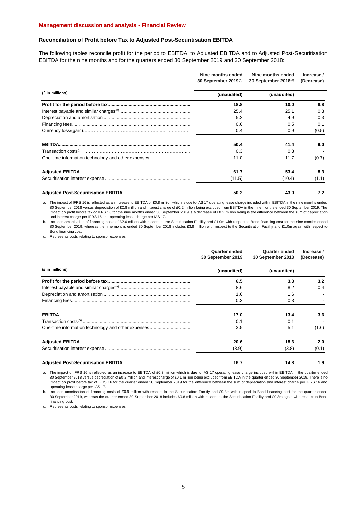#### **Management discussion and analysis - Financial Review**

### **Reconciliation of Profit before Tax to Adjusted Post-Securitisation EBITDA**

The following tables reconcile profit for the period to EBITDA, to Adjusted EBITDA and to Adjusted Post-Securitisation EBITDA for the nine months and for the quarters ended 30 September 2019 and 30 September 2018:

|                                                    | Nine months ended<br>30 September 2019(a) | Nine months ended<br>30 September 2018(a) | Increase /<br>(Decrease) |
|----------------------------------------------------|-------------------------------------------|-------------------------------------------|--------------------------|
| (£ in millions)                                    | (unaudited)                               | (unaudited)                               |                          |
|                                                    | 18.8                                      | 10.0                                      | 8.8                      |
|                                                    | 25.4                                      | 25.1                                      | 0.3                      |
|                                                    | 5.2                                       | 4.9                                       | 0.3                      |
|                                                    | 0.6                                       | 0.5                                       | 0.1                      |
|                                                    | 0.4                                       | 0.9                                       | (0.5)                    |
|                                                    | 50.4                                      | 41.4                                      | 9.0                      |
|                                                    | 0.3                                       | 0.3                                       |                          |
| One-time information technology and other expenses | 11.0                                      | 11.7                                      | (0.7)                    |
|                                                    | 61.7                                      | 53.4                                      | 8.3                      |
|                                                    | (11.5)                                    | (10.4)                                    | (1.1)                    |
|                                                    | 50.2                                      | 43.0                                      | 7.2                      |

a. The impact of IFRS 16 is reflected as an increase to EBITDA of £0.8 million which is due to IAS 17 operating lease charge included within EBITDA in the nine months ended 30 September 2018 versus depreciation of £0.8 million and interest charge of £0.2 million being excluded from EBITDA in the nine months ended 30 September 2019. The impact on profit before tax of IFRS 16 for the nine months ended 30 September 2019 is a decrease of £0.2 million being is the difference between the sum of depreciation and interest charge per IFRS 16 and operating lease charge per IAS 17.

b. Includes amortisation of financing costs of £2.6 million with respect to the Securitisation Facility and £1.0m with respect to Bond financing cost for the nine months ended 30 September 2019, whereas the nine months ended 30 September 2018 includes £3.8 million with respect to the Securitisation Facility and £1.0m again with respect to Bond financing cost.

c. Represents costs relating to sponsor expenses.

|                                                    | Quarter ended<br>30 September 2019 | Quarter ended<br>30 September 2018 | Increase /<br>(Decrease) |
|----------------------------------------------------|------------------------------------|------------------------------------|--------------------------|
| (£ in millions)                                    | (unaudited)                        | (unaudited)                        |                          |
|                                                    | 6.5                                | 3.3                                | 3.2                      |
|                                                    | 8.6                                | 8.2                                | 0.4                      |
|                                                    | 1.6                                | 1.6                                |                          |
|                                                    | 0.3                                | 0.3                                |                          |
|                                                    | 17.0                               | 13.4                               | 3.6                      |
|                                                    | 0.1                                | 0.1                                |                          |
| One-time information technology and other expenses | 3.5                                | 5.1                                | (1.6)                    |
|                                                    | 20.6                               | 18.6                               | 2.0                      |
|                                                    | (3.9)                              | (3.8)                              | (0.1)                    |
|                                                    | 16.7                               | 14.8                               | 1.9                      |

a. The impact of IFRS 16 is reflected as an increase to EBITDA of £0.3 million which is due to IAS 17 operating lease charge included within EBITDA in the quarter ended 30 September 2018 versus depreciation of £0.2 million and interest charge of £0.1 million being excluded from EBITDA in the quarter ended 30 September 2019. There is no impact on profit before tax of IFRS 16 for the quarter ended 30 September 2019 for the difference between the sum of depreciation and interest charge per IFRS 16 and operating lease charge per IAS 17.

b. Includes amortisation of financing costs of £0.9 million with respect to the Securitisation Facility and £0.3m with respect to Bond financing cost for the quarter ended 30 September 2019, whereas the quarter ended 30 September 2018 includes £0.8 million with respect to the Securitisation Facility and £0.3m again with respect to Bond financing cost.

c. Represents costs relating to sponsor expenses.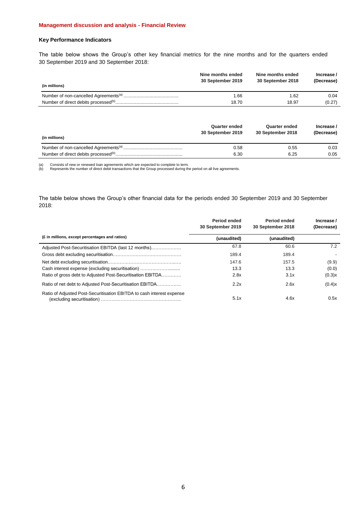### **Management discussion and analysis - Financial Review**

## **Key Performance Indicators**

The table below shows the Group's other key financial metrics for the nine months and for the quarters ended 30 September 2019 and 30 September 2018:

| (in millions) | Nine months ended<br>30 September 2019 | Nine months ended<br>30 September 2018 | Increase /<br>(Decrease) |
|---------------|----------------------------------------|----------------------------------------|--------------------------|
|               | 1.66                                   | 1.62                                   | 0.04                     |
|               | 18.70                                  | 18.97                                  | (0.27)                   |

| (in millions) | Quarter ended<br>30 September 2019 | <b>Quarter ended</b><br>30 September 2018 | Increase /<br>(Decrease) |
|---------------|------------------------------------|-------------------------------------------|--------------------------|
|               | 0.58                               | 0.55                                      | 0.03                     |
|               | 6.30                               | 6.25                                      | 0.05                     |

(a) Consists of new or renewed loan agreements which are expected to complete to term. (b) Represents the number of direct debit transactions that the Group processed during the period on all live agreements.

The table below shows the Group's other financial data for the periods ended 30 September 2019 and 30 September 2018:

|                                                                       | Period ended<br>30 September 2019 | Period ended<br>30 September 2018 | Increase /<br>(Decrease) |
|-----------------------------------------------------------------------|-----------------------------------|-----------------------------------|--------------------------|
| (£ in millions, except percentages and ratios)                        | (unaudited)                       | (unaudited)                       |                          |
| Adjusted Post-Securitisation EBITDA (last 12 months)                  | 67.8                              | 60.6                              | 7.2                      |
|                                                                       | 189.4                             | 189.4                             |                          |
|                                                                       | 147.6                             | 157.5                             | (9.9)                    |
| Cash interest expense (excluding securitisation)                      | 13.3                              | 13.3                              | (0.0)                    |
| Ratio of gross debt to Adjusted Post-Securitisation EBITDA            | 2.8x                              | 3.1x                              | (0.3)x                   |
| Ratio of net debt to Adjusted Post-Securitisation EBITDA              | 2.2x                              | 2.6x                              | (0.4)x                   |
| Ratio of Adjusted Post-Securitisation EBITDA to cash interest expense | 5.1x                              | 4.6x                              | 0.5x                     |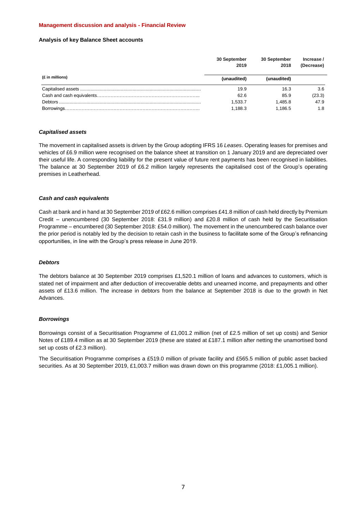### **Management discussion and analysis - Financial Review**

### **Analysis of key Balance Sheet accounts**

|                 | 30 September<br>2019 | 30 September<br>2018 | Increase/<br>(Decrease) |
|-----------------|----------------------|----------------------|-------------------------|
| (£ in millions) | (unaudited)          | (unaudited)          |                         |
|                 | 19.9                 | 16.3                 | 3.6                     |
|                 | 62.6                 | 85.9                 | (23.3)                  |
|                 | 1.533.7              | 1.485.8              | 47.9                    |
|                 | 1.188.3              | 1.186.5              | 1.8                     |

### *Capitalised assets*

The movement in capitalised assets is driven by the Group adopting IFRS 16 *Leases*. Operating leases for premises and vehicles of £6.9 million were recognised on the balance sheet at transition on 1 January 2019 and are depreciated over their useful life. A corresponding liability for the present value of future rent payments has been recognised in liabilities. The balance at 30 September 2019 of £6.2 million largely represents the capitalised cost of the Group's operating premises in Leatherhead.

### *Cash and cash equivalents*

Cash at bank and in hand at 30 September 2019 of £62.6 million comprises £41.8 million of cash held directly by Premium Credit – unencumbered (30 September 2018: £31.9 million) and £20.8 million of cash held by the Securitisation Programme – encumbered (30 September 2018: £54.0 million). The movement in the unencumbered cash balance over the prior period is notably led by the decision to retain cash in the business to facilitate some of the Group's refinancing opportunities, in line with the Group's press release in June 2019.

## *Debtors*

The debtors balance at 30 September 2019 comprises £1,520.1 million of loans and advances to customers, which is stated net of impairment and after deduction of irrecoverable debts and unearned income, and prepayments and other assets of £13.6 million. The increase in debtors from the balance at September 2018 is due to the growth in Net Advances.

#### *Borrowings*

Borrowings consist of a Securitisation Programme of £1,001.2 million (net of £2.5 million of set up costs) and Senior Notes of £189.4 million as at 30 September 2019 (these are stated at £187.1 million after netting the unamortised bond set up costs of £2.3 million).

The Securitisation Programme comprises a £519.0 million of private facility and £565.5 million of public asset backed securities. As at 30 September 2019, £1,003.7 million was drawn down on this programme (2018: £1,005.1 million).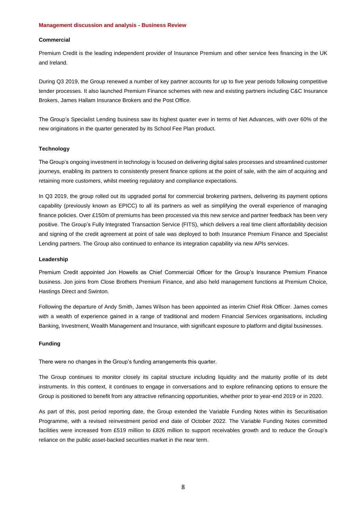#### **Management discussion and analysis - Business Review**

### **Commercial**

Premium Credit is the leading independent provider of Insurance Premium and other service fees financing in the UK and Ireland.

During Q3 2019, the Group renewed a number of key partner accounts for up to five year periods following competitive tender processes. It also launched Premium Finance schemes with new and existing partners including C&C Insurance Brokers, James Hallam Insurance Brokers and the Post Office.

The Group's Specialist Lending business saw its highest quarter ever in terms of Net Advances, with over 60% of the new originations in the quarter generated by its School Fee Plan product.

### **Technology**

The Group's ongoing investment in technology is focused on delivering digital sales processes and streamlined customer journeys, enabling its partners to consistently present finance options at the point of sale, with the aim of acquiring and retaining more customers, whilst meeting regulatory and compliance expectations.

In Q3 2019, the group rolled out its upgraded portal for commercial brokering partners, delivering its payment options capability (previously known as EPICC) to all its partners as well as simplifying the overall experience of managing finance policies. Over £150m of premiums has been processed via this new service and partner feedback has been very positive. The Group's Fully Integrated Transaction Service (FITS), which delivers a real time client affordability decision and signing of the credit agreement at point of sale was deployed to both Insurance Premium Finance and Specialist Lending partners. The Group also continued to enhance its integration capability via new APIs services.

#### **Leadership**

Premium Credit appointed Jon Howells as Chief Commercial Officer for the Group's Insurance Premium Finance business. Jon joins from Close Brothers Premium Finance, and also held management functions at Premium Choice, Hastings Direct and Swinton.

Following the departure of Andy Smith, James Wilson has been appointed as interim Chief Risk Officer. James comes with a wealth of experience gained in a range of traditional and modern Financial Services organisations, including Banking, Investment, Wealth Management and Insurance, with significant exposure to platform and digital businesses.

### **Funding**

There were no changes in the Group's funding arrangements this quarter.

The Group continues to monitor closely its capital structure including liquidity and the maturity profile of its debt instruments. In this context, it continues to engage in conversations and to explore refinancing options to ensure the Group is positioned to benefit from any attractive refinancing opportunities, whether prior to year-end 2019 or in 2020.

As part of this, post period reporting date, the Group extended the Variable Funding Notes within its Securitisation Programme, with a revised reinvestment period end date of October 2022. The Variable Funding Notes committed facilities were increased from £519 million to £826 million to support receivables growth and to reduce the Group's reliance on the public asset-backed securities market in the near term.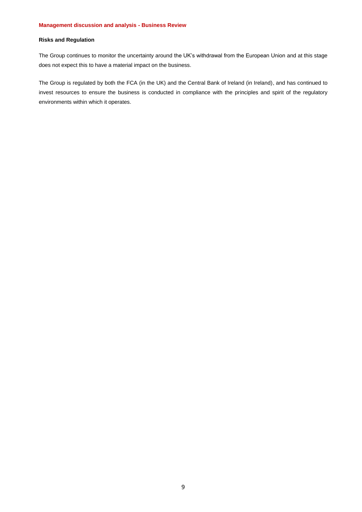## **Risks and Regulation**

The Group continues to monitor the uncertainty around the UK's withdrawal from the European Union and at this stage does not expect this to have a material impact on the business.

The Group is regulated by both the FCA (in the UK) and the Central Bank of Ireland (in Ireland), and has continued to invest resources to ensure the business is conducted in compliance with the principles and spirit of the regulatory environments within which it operates.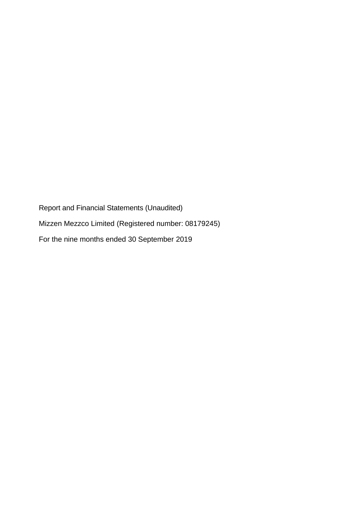Report and Financial Statements (Unaudited) Mizzen Mezzco Limited (Registered number: 08179245) For the nine months ended 30 September 2019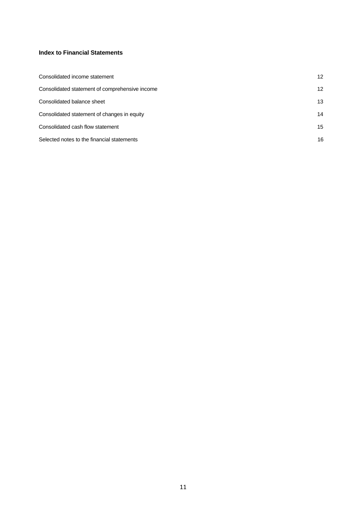# **Index to Financial Statements**

| Consolidated income statement                  | $12 \overline{ }$ |
|------------------------------------------------|-------------------|
| Consolidated statement of comprehensive income | $12 \overline{ }$ |
| Consolidated balance sheet                     | 13                |
| Consolidated statement of changes in equity    | 14                |
| Consolidated cash flow statement               | 15                |
| Selected notes to the financial statements     | 16                |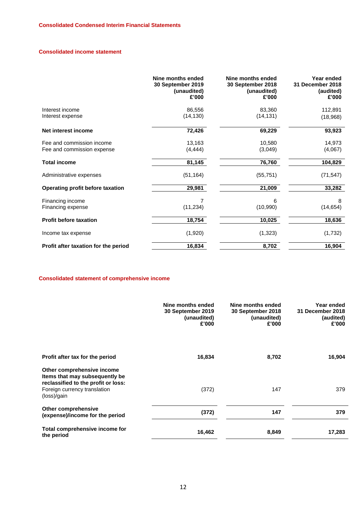## **Consolidated income statement**

|                                                         | Nine months ended<br>30 September 2019<br>(unaudited)<br>£'000 | Nine months ended<br>30 September 2018<br>(unaudited)<br>£'000 | Year ended<br>31 December 2018<br>(audited)<br>£'000 |
|---------------------------------------------------------|----------------------------------------------------------------|----------------------------------------------------------------|------------------------------------------------------|
| Interest income<br>Interest expense                     | 86,556<br>(14, 130)                                            | 83,360<br>(14, 131)                                            | 112,891<br>(18,968)                                  |
| Net interest income                                     | 72,426                                                         | 69,229                                                         | 93,923                                               |
| Fee and commission income<br>Fee and commission expense | 13,163<br>(4, 444)                                             | 10,580<br>(3,049)                                              | 14,973<br>(4,067)                                    |
| <b>Total income</b>                                     | 81,145                                                         | 76,760                                                         | 104,829                                              |
| Administrative expenses                                 | (51, 164)                                                      | (55, 751)                                                      | (71, 547)                                            |
| Operating profit before taxation                        | 29,981                                                         | 21,009                                                         | 33,282                                               |
| Financing income<br>Financing expense                   | 7<br>(11, 234)                                                 | 6<br>(10,990)                                                  | 8<br>(14, 654)                                       |
| <b>Profit before taxation</b>                           | 18,754                                                         | 10,025                                                         | 18,636                                               |
| Income tax expense                                      | (1,920)                                                        | (1,323)                                                        | (1,732)                                              |
| Profit after taxation for the period                    | 16,834                                                         | 8,702                                                          | 16,904                                               |

# **Consolidated statement of comprehensive income**

|                                                                                                     | Nine months ended<br>30 September 2019<br>(unaudited)<br>£'000 | Nine months ended<br>30 September 2018<br>(unaudited)<br>£'000 | Year ended<br>31 December 2018<br>(audited)<br>£'000 |
|-----------------------------------------------------------------------------------------------------|----------------------------------------------------------------|----------------------------------------------------------------|------------------------------------------------------|
| Profit after tax for the period                                                                     | 16,834                                                         | 8,702                                                          | 16,904                                               |
| Other comprehensive income<br>Items that may subsequently be<br>reclassified to the profit or loss: |                                                                |                                                                |                                                      |
| Foreign currency translation<br>(loss)/gain                                                         | (372)                                                          | 147                                                            | 379                                                  |
| Other comprehensive<br>(expense)/income for the period                                              | (372)                                                          | 147                                                            | 379                                                  |
| Total comprehensive income for<br>the period                                                        | 16,462                                                         | 8,849                                                          | 17,283                                               |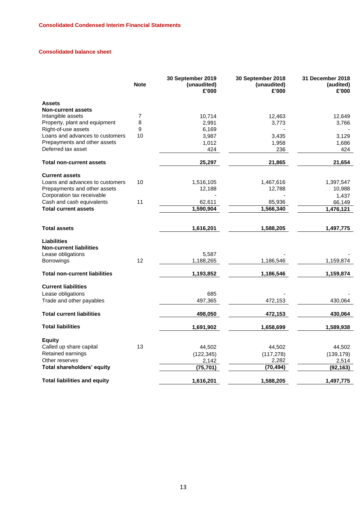# **Consolidated balance sheet**

|                                                                           | <b>Note</b> | 30 September 2019<br>(unaudited)<br>£'000 | 30 September 2018<br>(unaudited)<br>£'000 | 31 December 2018<br>(audited)<br>£'000 |
|---------------------------------------------------------------------------|-------------|-------------------------------------------|-------------------------------------------|----------------------------------------|
| <b>Assets</b>                                                             |             |                                           |                                           |                                        |
| <b>Non-current assets</b>                                                 |             |                                           |                                           |                                        |
| Intangible assets                                                         | 7           | 10,714                                    | 12,463                                    | 12,649                                 |
| Property, plant and equipment                                             | 8           | 2,991                                     | 3,773                                     | 3,766                                  |
| Right-of-use assets                                                       | 9           | 6,169                                     |                                           |                                        |
| Loans and advances to customers                                           | 10          | 3,987                                     | 3,435                                     | 3,129                                  |
| Prepayments and other assets                                              |             | 1,012                                     | 1,958                                     | 1,686                                  |
| Deferred tax asset                                                        |             | 424                                       | 236                                       | 424                                    |
| <b>Total non-current assets</b>                                           |             | 25,297                                    | 21,865                                    | 21,654                                 |
| <b>Current assets</b>                                                     |             |                                           |                                           |                                        |
| Loans and advances to customers                                           | 10          | 1,516,105                                 | 1,467,616                                 | 1,397,547                              |
| Prepayments and other assets                                              |             | 12,188                                    | 12,788                                    | 10,988                                 |
| Corporation tax receivable                                                |             |                                           |                                           | 1,437                                  |
| Cash and cash equivalents                                                 | 11          | 62,611                                    | 85,936                                    | 66,149                                 |
| <b>Total current assets</b>                                               |             | 1,590,904                                 | 1,566,340                                 | 1,476,121                              |
|                                                                           |             |                                           |                                           |                                        |
| <b>Total assets</b>                                                       |             | 1,616,201                                 | 1,588,205                                 | 1,497,775                              |
| <b>Liabilities</b><br><b>Non-current liabilities</b><br>Lease obligations |             | 5,587                                     |                                           |                                        |
| Borrowings                                                                | 12          | 1,188,265                                 | 1,186,546                                 | 1,159,874                              |
|                                                                           |             |                                           |                                           |                                        |
| <b>Total non-current liabilities</b>                                      |             | 1,193,852                                 | 1,186,546                                 | 1,159,874                              |
| <b>Current liabilities</b>                                                |             |                                           |                                           |                                        |
| Lease obligations                                                         |             | 685                                       |                                           |                                        |
| Trade and other payables                                                  |             | 497,365                                   | 472,153                                   | 430,064                                |
| <b>Total current liabilities</b>                                          |             | 498,050                                   | 472,153                                   | 430,064                                |
| <b>Total liabilities</b>                                                  |             | 1,691,902                                 | 1,658,699                                 | 1,589,938                              |
|                                                                           |             |                                           |                                           |                                        |
| <b>Equity</b>                                                             |             |                                           |                                           |                                        |
| Called up share capital                                                   | 13          | 44,502                                    | 44,502                                    | 44,502                                 |
| Retained earnings                                                         |             | (122, 345)                                | (117, 278)                                | (139, 179)                             |
| Other reserves                                                            |             | 2,142                                     | 2,282                                     | 2,514                                  |
| Total shareholders' equity                                                |             | (75, 701)                                 | (70, 494)                                 | (92, 163)                              |
| <b>Total liabilities and equity</b>                                       |             | 1,616,201                                 | 1,588,205                                 | 1,497,775                              |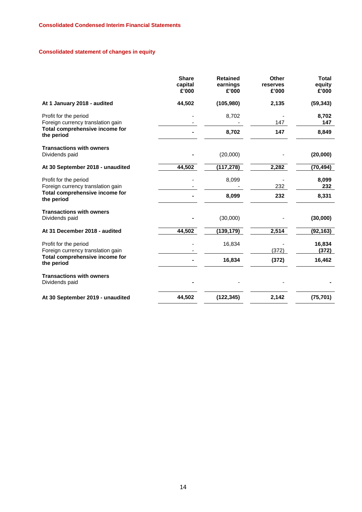# **Consolidated statement of changes in equity**

|                                                            | <b>Share</b><br>capital<br>£'000 | <b>Retained</b><br>earnings<br>£'000 | <b>Other</b><br>reserves<br>£'000 | <b>Total</b><br>equity<br>£'000 |
|------------------------------------------------------------|----------------------------------|--------------------------------------|-----------------------------------|---------------------------------|
| At 1 January 2018 - audited                                | 44,502                           | (105,980)                            | 2,135                             | (59, 343)                       |
| Profit for the period<br>Foreign currency translation gain |                                  | 8,702                                | 147                               | 8.702<br>147                    |
| Total comprehensive income for<br>the period               |                                  | 8,702                                | 147                               | 8,849                           |
| <b>Transactions with owners</b><br>Dividends paid          |                                  | (20,000)                             |                                   | (20,000)                        |
| At 30 September 2018 - unaudited                           | 44,502                           | (117, 278)                           | 2,282                             | (70, 494)                       |
| Profit for the period<br>Foreign currency translation gain |                                  | 8,099                                | 232                               | 8,099<br>232                    |
| Total comprehensive income for<br>the period               |                                  | 8,099                                | 232                               | 8,331                           |
| <b>Transactions with owners</b><br>Dividends paid          |                                  | (30,000)                             |                                   | (30,000)                        |
| At 31 December 2018 - audited                              | 44,502                           | (139, 179)                           | 2,514                             | (92, 163)                       |
| Profit for the period<br>Foreign currency translation gain |                                  | 16,834                               | (372)                             | 16,834<br>(372)                 |
| Total comprehensive income for<br>the period               |                                  | 16,834                               | (372)                             | 16,462                          |
| <b>Transactions with owners</b><br>Dividends paid          |                                  |                                      |                                   |                                 |
| At 30 September 2019 - unaudited                           | 44,502                           | (122, 345)                           | 2,142                             | (75, 701)                       |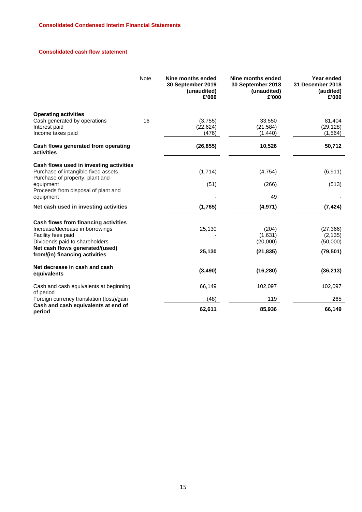# **Consolidated cash flow statement**

|                                                                                                                                 | <b>Note</b> | Nine months ended<br>30 September 2019<br>(unaudited)<br>£'000 | Nine months ended<br>30 September 2018<br>(unaudited)<br>£'000 | Year ended<br>31 December 2018<br>(audited)<br>£'000 |
|---------------------------------------------------------------------------------------------------------------------------------|-------------|----------------------------------------------------------------|----------------------------------------------------------------|------------------------------------------------------|
| <b>Operating activities</b><br>Cash generated by operations                                                                     | 16          | (3,755)                                                        | 33,550                                                         | 81.404                                               |
| Interest paid<br>Income taxes paid                                                                                              |             | (22, 624)<br>(476)                                             | (21, 584)<br>(1, 440)                                          | (29, 128)<br>(1, 564)                                |
| Cash flows generated from operating<br>activities                                                                               |             | (26, 855)                                                      | 10,526                                                         | 50,712                                               |
| Cash flows used in investing activities<br>Purchase of intangible fixed assets                                                  |             | (1,714)                                                        | (4, 754)                                                       | (6, 911)                                             |
| Purchase of property, plant and<br>equipment<br>Proceeds from disposal of plant and<br>equipment                                |             | (51)                                                           | (266)<br>49                                                    | (513)                                                |
| Net cash used in investing activities                                                                                           |             | (1,765)                                                        | (4,971)                                                        | (7, 424)                                             |
| Cash flows from financing activities<br>Increase/decrease in borrowings<br>Facility fees paid<br>Dividends paid to shareholders |             | 25,130                                                         | (204)<br>(1,631)<br>(20,000)                                   | (27, 366)<br>(2, 135)<br>(50,000)                    |
| Net cash flows generated/(used)<br>from/(in) financing activities                                                               |             | 25,130                                                         | (21, 835)                                                      | (79, 501)                                            |
| Net decrease in cash and cash<br>equivalents                                                                                    |             | (3,490)                                                        | (16, 280)                                                      | (36, 213)                                            |
| Cash and cash equivalents at beginning<br>of period                                                                             |             | 66,149                                                         | 102,097                                                        | 102,097                                              |
| Foreign currency translation (loss)/gain                                                                                        |             | (48)                                                           | 119                                                            | 265                                                  |
| Cash and cash equivalents at end of<br>period                                                                                   |             | 62,611                                                         | 85,936                                                         | 66,149                                               |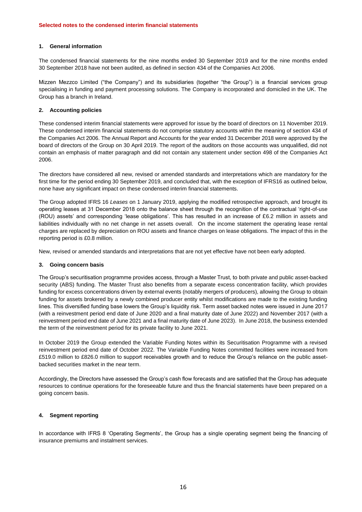## **1. General information**

The condensed financial statements for the nine months ended 30 September 2019 and for the nine months ended 30 September 2018 have not been audited, as defined in section 434 of the Companies Act 2006.

Mizzen Mezzco Limited ("the Company") and its subsidiaries (together "the Group") is a financial services group specialising in funding and payment processing solutions. The Company is incorporated and domiciled in the UK. The Group has a branch in Ireland.

### **2. Accounting policies**

These condensed interim financial statements were approved for issue by the board of directors on 11 November 2019. These condensed interim financial statements do not comprise statutory accounts within the meaning of section 434 of the Companies Act 2006. The Annual Report and Accounts for the year ended 31 December 2018 were approved by the board of directors of the Group on 30 April 2019. The report of the auditors on those accounts was unqualified, did not contain an emphasis of matter paragraph and did not contain any statement under section 498 of the Companies Act 2006.

The directors have considered all new, revised or amended standards and interpretations which are mandatory for the first time for the period ending 30 September 2019, and concluded that, with the exception of IFRS16 as outlined below, none have any significant impact on these condensed interim financial statements.

The Group adopted IFRS 16 *Leases* on 1 January 2019, applying the modified retrospective approach, and brought its operating leases at 31 December 2018 onto the balance sheet through the recognition of the contractual 'right-of-use (ROU) assets' and corresponding 'lease obligations'. This has resulted in an increase of £6.2 million in assets and liabilities individually with no net change in net assets overall. On the income statement the operating lease rental charges are replaced by depreciation on ROU assets and finance charges on lease obligations. The impact of this in the reporting period is £0.8 million.

New, revised or amended standards and interpretations that are not yet effective have not been early adopted.

### **3. Going concern basis**

The Group's securitisation programme provides access, through a Master Trust, to both private and public asset-backed security (ABS) funding. The Master Trust also benefits from a separate excess concentration facility, which provides funding for excess concentrations driven by external events (notably mergers of producers), allowing the Group to obtain funding for assets brokered by a newly combined producer entity whilst modifications are made to the existing funding lines. This diversified funding base lowers the Group's liquidity risk. Term asset backed notes were issued in June 2017 (with a reinvestment period end date of June 2020 and a final maturity date of June 2022) and November 2017 (with a reinvestment period end date of June 2021 and a final maturity date of June 2023). In June 2018, the business extended the term of the reinvestment period for its private facility to June 2021.

In October 2019 the Group extended the Variable Funding Notes within its Securitisation Programme with a revised reinvestment period end date of October 2022. The Variable Funding Notes committed facilities were increased from £519.0 million to £826.0 million to support receivables growth and to reduce the Group's reliance on the public assetbacked securities market in the near term.

Accordingly, the Directors have assessed the Group's cash flow forecasts and are satisfied that the Group has adequate resources to continue operations for the foreseeable future and thus the financial statements have been prepared on a going concern basis.

## **4. Segment reporting**

In accordance with IFRS 8 'Operating Segments', the Group has a single operating segment being the financing of insurance premiums and instalment services.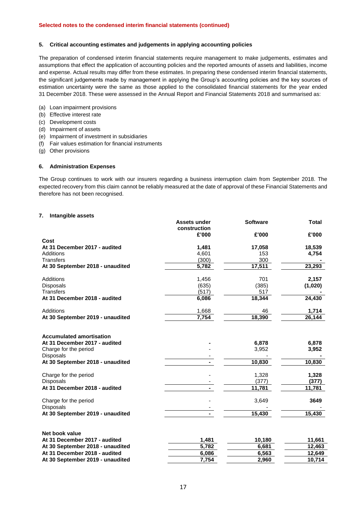### **5. Critical accounting estimates and judgements in applying accounting policies**

The preparation of condensed interim financial statements require management to make judgements, estimates and assumptions that effect the application of accounting policies and the reported amounts of assets and liabilities, income and expense. Actual results may differ from these estimates. In preparing these condensed interim financial statements, the significant judgements made by management in applying the Group's accounting policies and the key sources of estimation uncertainty were the same as those applied to the consolidated financial statements for the year ended 31 December 2018. These were assessed in the Annual Report and Financial Statements 2018 and summarised as:

- (a) Loan impairment provisions
- (b) Effective interest rate
- (c) Development costs
- (d) Impairment of assets
- (e) Impairment of investment in subsidiaries
- (f) Fair values estimation for financial instruments
- (g) Other provisions

#### **6. Administration Expenses**

The Group continues to work with our insurers regarding a business interruption claim from September 2018. The expected recovery from this claim cannot be reliably measured at the date of approval of these Financial Statements and therefore has not been recognised.

### **7. Intangible assets**

|                                                                  | <b>Assets under</b> | <b>Software</b> | <b>Total</b> |
|------------------------------------------------------------------|---------------------|-----------------|--------------|
|                                                                  | construction        |                 |              |
|                                                                  | £'000               | £'000           | £'000        |
| Cost<br>At 31 December 2017 - audited                            |                     |                 | 18,539       |
| Additions                                                        | 1,481<br>4,601      | 17,058<br>153   | 4,754        |
| <b>Transfers</b>                                                 | (300)               | 300             |              |
| At 30 September 2018 - unaudited                                 | 5,782               | 17,511          | 23,293       |
|                                                                  |                     |                 |              |
| Additions                                                        | 1,456               | 701             | 2,157        |
| Disposals                                                        | (635)               | (385)           | (1,020)      |
| <b>Transfers</b>                                                 | (517)               | 517             |              |
| At 31 December 2018 - audited                                    | 6,086               | 18,344          | 24,430       |
| Additions                                                        | 1,668               | 46              | 1,714        |
| At 30 September 2019 - unaudited                                 | 7,754               | 18,390          | 26,144       |
| <b>Accumulated amortisation</b><br>At 31 December 2017 - audited |                     | 6,878           | 6,878        |
| Charge for the period                                            |                     | 3,952           | 3,952        |
| Disposals                                                        |                     |                 |              |
| At 30 September 2018 - unaudited                                 |                     | 10,830          | 10,830       |
| Charge for the period                                            |                     | 1,328           | 1,328        |
| Disposals                                                        |                     | (377)           | (377)        |
| At 31 December 2018 - audited                                    |                     | 11,781          | 11,781       |
| Charge for the period                                            |                     | 3,649           | 3649         |
| Disposals                                                        |                     |                 |              |
| At 30 September 2019 - unaudited                                 |                     | 15,430          | 15,430       |
| Net book value                                                   |                     |                 |              |
| At 31 December 2017 - audited                                    | 1,481               | 10,180          | 11,661       |
| At 30 September 2018 - unaudited                                 | 5,782               | 6,681           | 12,463       |
| At 31 December 2018 - audited                                    | 6,086               | 6,563           | 12,649       |
| At 30 September 2019 - unaudited                                 | 7,754               | 2,960           | 10,714       |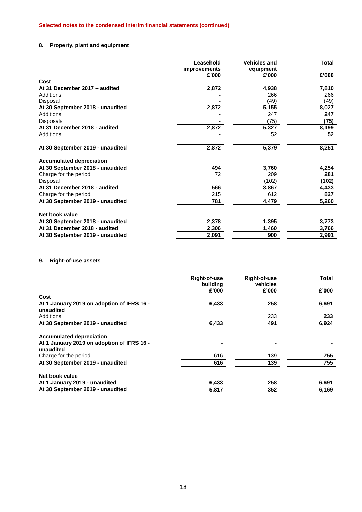# **8. Property, plant and equipment**

|                                  | Leasehold<br><i>improvements</i> | <b>Vehicles and</b><br>equipment | <b>Total</b> |
|----------------------------------|----------------------------------|----------------------------------|--------------|
|                                  | £'000                            | £'000                            | £'000        |
| Cost                             |                                  |                                  |              |
| At 31 December 2017 - audited    | 2,872                            | 4,938                            | 7,810        |
| Additions                        |                                  | 266                              | 266          |
| Disposal                         |                                  | (49)                             | (49)         |
| At 30 September 2018 - unaudited | 2,872                            | 5,155                            | 8,027        |
| Additions                        |                                  | 247                              | 247          |
| <b>Disposals</b>                 |                                  | (75)                             | (75)         |
| At 31 December 2018 - audited    | 2,872                            | 5,327                            | 8,199        |
| Additions                        |                                  | 52                               | 52           |
| At 30 September 2019 - unaudited | 2,872                            | 5,379                            | 8,251        |
| <b>Accumulated depreciation</b>  |                                  |                                  |              |
| At 30 September 2018 - unaudited | 494                              | 3,760                            | 4,254        |
| Charge for the period            | 72                               | 209                              | 281          |
| Disposal                         |                                  | (102)                            | (102)        |
| At 31 December 2018 - audited    | 566                              | 3,867                            | 4,433        |
| Charge for the period            | 215                              | 612                              | 827          |
| At 30 September 2019 - unaudited | 781                              | 4,479                            | 5,260        |
| Net book value                   |                                  |                                  |              |
| At 30 September 2018 - unaudited | 2,378                            | 1,395                            | 3,773        |
| At 31 December 2018 - audited    | 2,306                            | 1,460                            | 3,766        |
| At 30 September 2019 - unaudited | 2,091                            | 900                              | 2,991        |

# **9. Right-of-use assets**

|                                                         | <b>Right-of-use</b><br>building | Right-of-use<br>vehicles | <b>Total</b> |
|---------------------------------------------------------|---------------------------------|--------------------------|--------------|
|                                                         | £'000                           | £'000                    | £'000        |
| Cost                                                    |                                 |                          |              |
| At 1 January 2019 on adoption of IFRS 16 -<br>unaudited | 6,433                           | 258                      | 6,691        |
| Additions                                               |                                 | 233                      | 233          |
| At 30 September 2019 - unaudited                        | 6,433                           | 491                      | 6,924        |
| <b>Accumulated depreciation</b>                         |                                 |                          |              |
| At 1 January 2019 on adoption of IFRS 16 -<br>unaudited |                                 |                          |              |
| Charge for the period                                   | 616                             | 139                      | 755          |
| At 30 September 2019 - unaudited                        | 616                             | 139                      | 755          |
| Net book value                                          |                                 |                          |              |
| At 1 January 2019 - unaudited                           | 6,433                           | 258                      | 6,691        |
| At 30 September 2019 - unaudited                        | 5,817                           | 352                      | 6,169        |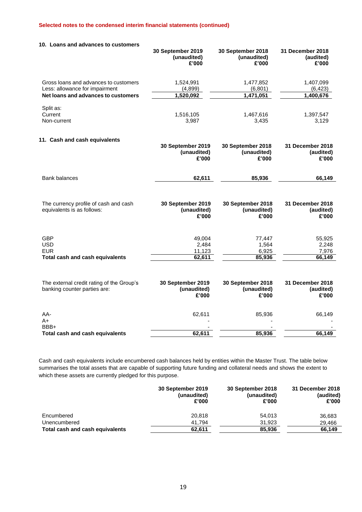| 10. Loans and advances to customers                                       |                                           |                                           |                                        |
|---------------------------------------------------------------------------|-------------------------------------------|-------------------------------------------|----------------------------------------|
|                                                                           | 30 September 2019<br>(unaudited)<br>£'000 | 30 September 2018<br>(unaudited)<br>£'000 | 31 December 2018<br>(audited)<br>£'000 |
| Gross loans and advances to customers<br>Less: allowance for impairment   | 1,524,991<br>(4,899)                      | 1,477,852<br>(6, 801)                     | 1,407,099<br>(6, 423)                  |
| Net loans and advances to customers                                       | 1,520,092                                 | 1,471,051                                 | 1,400,676                              |
| Split as:<br>Current<br>Non-current                                       | 1,516,105<br>3,987                        | 1,467,616<br>3,435                        | 1,397,547<br>3,129                     |
| 11. Cash and cash equivalents                                             | 30 September 2019<br>(unaudited)<br>£'000 | 30 September 2018<br>(unaudited)<br>£'000 | 31 December 2018<br>(audited)<br>£'000 |
| <b>Bank balances</b>                                                      | 62,611                                    | 85,936                                    | 66,149                                 |
| The currency profile of cash and cash<br>equivalents is as follows:       | 30 September 2019<br>(unaudited)<br>£'000 | 30 September 2018<br>(unaudited)<br>£'000 | 31 December 2018<br>(audited)<br>£'000 |
| <b>GBP</b><br><b>USD</b><br><b>EUR</b><br>Total cash and cash equivalents | 49,004<br>2,484<br>11,123<br>62,611       | 77,447<br>1,564<br>6,925<br>85,936        | 55,925<br>2,248<br>7,976<br>66,149     |
| The external credit rating of the Group's<br>banking counter parties are: | 30 September 2019<br>(unaudited)<br>£'000 | 30 September 2018<br>(unaudited)<br>£'000 | 31 December 2018<br>(audited)<br>£'000 |
| AA-<br>A+                                                                 | 62,611                                    | 85,936                                    | 66,149                                 |
| BBB+<br>Total cash and cash equivalents                                   | 62,611                                    | 85,936                                    | 66,149                                 |
|                                                                           |                                           |                                           |                                        |

Cash and cash equivalents include encumbered cash balances held by entities within the Master Trust. The table below summarises the total assets that are capable of supporting future funding and collateral needs and shows the extent to which these assets are currently pledged for this purpose.

|                                 | 30 September 2019<br>(unaudited)<br>£'000 | 30 September 2018<br>(unaudited)<br>£'000 | 31 December 2018<br>(audited)<br>£'000 |
|---------------------------------|-------------------------------------------|-------------------------------------------|----------------------------------------|
| Encumbered                      | 20.818                                    | 54.013                                    | 36,683                                 |
| Unencumbered                    | 41.794                                    | 31.923                                    | 29,466                                 |
| Total cash and cash equivalents | 62,611                                    | 85,936                                    | 66,149                                 |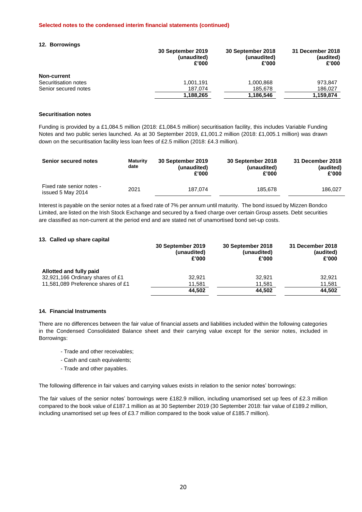### **12. Borrowings**

|                      | 30 September 2019<br>(unaudited)<br>£'000 | 30 September 2018<br>(unaudited)<br>£'000 | 31 December 2018<br>(audited)<br>£'000 |
|----------------------|-------------------------------------------|-------------------------------------------|----------------------------------------|
| Non-current          |                                           |                                           |                                        |
| Securitisation notes | 1.001.191                                 | 1,000,868                                 | 973.847                                |
| Senior secured notes | 187.074                                   | 185.678                                   | 186,027                                |
|                      | 1,188,265                                 | 1,186,546                                 | 1,159,874                              |

### **Securitisation notes**

Funding is provided by a £1,084.5 million (2018: £1,084.5 million) securitisation facility, this includes Variable Funding Notes and two public series launched. As at 30 September 2019, £1,001.2 million (2018: £1,005.1 million) was drawn down on the securitisation facility less loan fees of £2.5 million (2018: £4.3 million).

| <b>Senior secured notes</b>                    | <b>Maturity</b><br>date | 30 September 2019<br>(unaudited)<br>£'000 | 30 September 2018<br>(unaudited)<br>£'000 | 31 December 2018<br>(audited)<br>£'000 |
|------------------------------------------------|-------------------------|-------------------------------------------|-------------------------------------------|----------------------------------------|
| Fixed rate senior notes -<br>issued 5 May 2014 | 2021                    | 187.074                                   | 185.678                                   | 186.027                                |

Interest is payable on the senior notes at a fixed rate of 7% per annum until maturity. The bond issued by Mizzen Bondco Limited, are listed on the Irish Stock Exchange and secured by a fixed charge over certain Group assets. Debt securities are classified as non-current at the period end and are stated net of unamortised bond set-up costs.

### **13. Called up share capital**

|                                    | 30 September 2019<br>(unaudited)<br>£'000 | 30 September 2018<br>(unaudited)<br>£'000 | 31 December 2018<br>(audited)<br>£'000 |
|------------------------------------|-------------------------------------------|-------------------------------------------|----------------------------------------|
| Allotted and fully paid            |                                           |                                           |                                        |
| 32,921,166 Ordinary shares of £1   | 32.921                                    | 32.921                                    | 32.921                                 |
| 11,581,089 Preference shares of £1 | 11,581                                    | 11,581                                    | 11,581                                 |
|                                    | 44.502                                    | 44,502                                    | 44.502                                 |

## **14. Financial Instruments**

There are no differences between the fair value of financial assets and liabilities included within the following categories in the Condensed Consolidated Balance sheet and their carrying value except for the senior notes, included in Borrowings:

- Trade and other receivables;
- Cash and cash equivalents;
- Trade and other payables.

The following difference in fair values and carrying values exists in relation to the senior notes' borrowings:

The fair values of the senior notes' borrowings were £182.9 million, including unamortised set up fees of £2.3 million compared to the book value of £187.1 million as at 30 September 2019 (30 September 2018: fair value of £189.2 million, including unamortised set up fees of £3.7 million compared to the book value of £185.7 million).